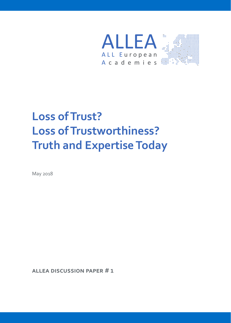

# **Loss of Trust? Loss of Trustworthiness? Truth and Expertise Today**

May 2018

**ALLEA Discussion PAPEr # 1**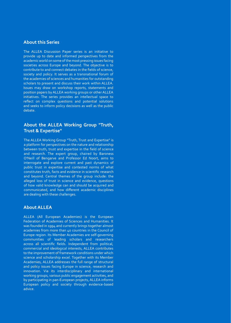#### **About this Series**

The ALLEA Discussion Paper series is an initiative to provide up to date and informed perspectives from the academic world on some of the most pressing issues facing societies across Europe and beyond. The objective is to contribute to and connect debates in the fields of science, society and policy. It serves as a transnational forum of the academies of sciences and humanities for outstanding scholars to present and discuss their work within ALLEA. Issues may draw on workshop reports, statements and position papers by ALLEA working groups or other ALLEA initiatives. The series provides an intellectual space to reflect on complex questions and potential solutions and seeks to inform policy decisions as well as the public debate.

#### **About the ALLEA Working Group "Truth, Trust & Expertise"**

The ALLEA Working Group "Truth, Trust and Expertise" is a platform for perspectives on the nature and relationship between truth, trust and expertise in the field of science and research. The expert group, chaired by Baroness O'Neill of Bengarve and Professor Ed Noort, aims to interrogate and explore current and past dynamics of public trust in expertise and contested norms of what constitutes truth, facts and evidence in scientific research and beyond. Central themes of the group include: the alleged loss of trust in science and evidence, questions of how valid knowledge can and should be acquired and communicated, and how different academic disciplines are dealing with these challenges.

#### **About ALLEA**

ALLEA (All European Academies) is the European Federation of Academies of Sciences and Humanities. It was founded in 1994 and currently brings together almost academies from more than 40 countries in the Council of Europe region. Its Member Academies are self-governing communities of leading scholars and researchers across all scientific fields. Independent from political, commercial and ideological interests, ALLEA contributes to the improvement of framework conditions under which science and scholarship excel. Together with its Member Academies, ALLEA addresses the full range of structural and policy issues facing Europe in science, research and innovation. Via its interdisciplinary and international working groups, various public engagement activities, and by participating in pan-European projects, ALLEA informs European policy and society through evidence-based advice.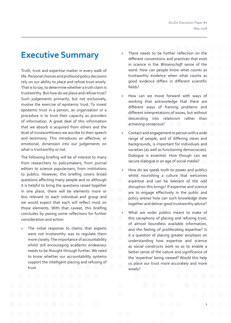### **Executive Summary**

Truth, trust and expertise matter in every walk of life. Personal choices and profound policy decisions rely on our ability to place and refuse trust wisely. That is to say, to determine whether a truth claim is trustworthy. But how do we place and refuse trust? Such judgements primarily, but not exclusively, involve the exercise of epistemic trust. To invest epistemic trust in a person, an organisation or a procedure is to trust their capacity as providers of information. A great deal of this information that we absorb is acquired from others and the level of trustworthiness we ascribe to their speech and testimony. This introduces an affective, or emotional, dimension into our judgements on what is trustworthy or not.

The following briefing will be of interest to many from researchers to policymakers, from journal editors to science popularisers, from institutions to publics. However, this briefing covers broad questions affecting many people and so although it is helpful to bring the questions raised together in one place, there will be elements more or less relevant to each individual and group and we would expect that each will reflect most on those elements. With that caveat, this briefing concludes by posing some reflections for further consideration and action:

The initial response to claims that experts were not trustworthy was to regulate them more closely. The importance of accountability whilst still encouraging academic endeavour needs to be thought through further. We need to know whether our accountability systems support the intelligent placing and refusing of trust.

- » There needs to be further reflection on the different conventions and practices that exist in science in the *Wissenschaft* sense of the word. How can people know what counts as trustworthy evidence when what counts as good evidence differs in different scientific fields?
- » How can we move forward with ways of working that acknowledge that there are different ways of framing problems and different interpretations of issues, but without descending into relativism rather than achieving consensus?
- » Contact and engagement in person with a wide range of people, and of differing views and backgrounds, is important for individuals and societies (as well as functioning democracies). Dialogue is essential. How though can we secure dialogue in an age of social media?
- » How do we speak truth to power and publics whilst nourishing a culture that welcomes expertise and can be tolerant of the odd disruption this brings? If expertise and science are to engage effectively in the public and policy arenas how can such knowledge draw together and deliver good trustworthy advice?
- » What are wider publics meant to make of this cacophony of placing and refusing trust, of almost boundless available information, and the feeling of proliferating expertise? Is it a question of placing greater emphasis on understanding how expertise and science as social constructs work so as to enable a better sense of the nature and significance of the 'expertise' being viewed? Would this help us place our trust more accurately and more wisely?

**1**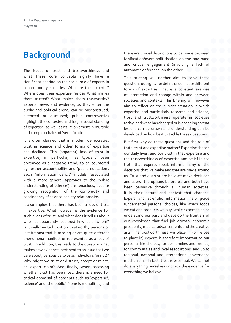## **Background**

The issues of trust and trustworthiness and what these core concepts signify have a significant bearing on the social role of experts in contemporary societies. Who are the 'experts'? Where does their expertise reside? What makes them trusted? What makes them trustworthy? Experts' views and evidence, as they enter the public and political arena, can be misconstrued, distorted or dismissed; public controversies highlight the contested and fragile social standing of expertise, as well as its involvement in multiple and complex chains of 'veridification'.

It is often claimed that in modern democracies trust in science and other forms of expertise has declined. This (apparent) loss of trust in expertise, in particular, has typically been portrayed as a negative trend, to be countered by further accountability and 'public education'. Such 'information deficit' models (associated with a more general approach to the 'public understanding of science') are tenacious, despite growing recognition of the complexity and contingency of science-society relationships.

It also implies that there has been a loss of trust in expertise. What however is the evidence for such a loss of trust, and what does it tell us about who has apparently lost trust in what or whom? Is it well-merited trust (in trustworthy persons or institutions) that is missing or are quite different phenomena manifest or represented as a loss of trust? In addition, this leads to the question what makes new evidence, pertinent to an issue that we care about, persuasive to us as individuals (or not)? Why might we trust or distrust, accept or reject, an expert claim? And finally, when assessing whether trust has been lost, there is a need for critical appraisal of concepts such as 'expertise', 'science' and 'the public'. None is monolithic, and

there are crucial distinctions to be made between falsification/overt politicisation on the one hand and critical engagement (involving a lack of automatic deference) on the other.

This briefing will neither aim to solve these questions outright, nor define or delineate different forms of expertise. That is a constant exercise of interaction and change within and between societies and contexts. This briefing will however aim to reflect on the current situation in which expertise and particularly research and science, trust and trustworthiness operate in societies today, and what has changed or is changing so that lessons can be drawn and understanding can be developed on how best to tackle these questions.

But first why do these questions and the role of truth, trust and expertise matter? Expertise shapes our daily lives, and our trust in that expertise and the trustworthiness of expertise and belief in the truth that experts speak informs many of the decisions that we make and that are made around us. Trust and distrust are how we make decisions and assess the options before us, and both have been pervasive through all human societies. It is their nature and context that changes. Expert and scientific information help guide fundamental personal choices, like which foods we eat and products we buy, while expertise helps understand our past and develop the frontiers of our knowledge that fuel job growth, economic prosperity, medical advancements and the creative arts. The trustworthiness we place in (or refuse to place in) experts is therefore important to our personal life choices, for our families and friends, for communities and local associations, and up to regional, national and international governance mechanisms. In fact, trust is essential. We cannot do everything ourselves or check the evidence for everything we believe.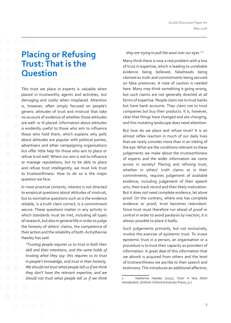### **Placing or Refusing Trust: That is the Question**

This trust we place in experts is valuable when placed in trustworthy agents and activities, but damaging and costly when misplaced. Attention is, however, often simply focused on people's generic attitudes of trust and mistrust that take no account of evidence of whether those attitudes are well- or ill-placed. Information about attitudes is evidently useful to those who aim to influence those who hold them, which explains why polls about attitudes are popular with political parties, advertisers and other campaigning organisations but offer little help for those who aim to place or refuse trust well. Where our aim is not to influence or manage reputations, but to be able to place and refuse trust intelligently, we must link trust to trustworthiness. How to do so is the major question we face.

In most practical contexts, interest is not directed to empirical questions about attitudes of mistrust, but to normative questions such as is the evidence reliable, is a truth claim correct, is a commitment secure. These questions matter in any activity in which standards must be met, including all types of research, but also in general life in order to judge the honesty of others' claims, the competence of their action and the reliability of both. As Katherine Hawley has said:

*"Trusting people requires us to trust in both their skill and their intentions, and the same holds of trusting what they say: this requires us to trust in people's knowledge, and trust in their honesty. We should not trust what people tell us if we think they don't have the relevant expertise; and we should not trust what people tell us if we think* 

#### *they are trying to pull the wool over our eyes." <sup>1</sup>*

Many think there is now a real problem with a loss of trust in expertise, which is leading to unreliable evidence being believed, falsehoods being claimed as truth and commitments being secured on false pretences. A note of caution is needed here. Many may think something is going wrong, but such claims are not generally directed at all forms of expertise. People claim not to trust banks but have bank accounts. They claim not to trust companies but buy their products. It is, however, clear that things have changed and are changing, and this mutating landscape does need attention.

But how do we place and refuse trust? It is an almost reflex reaction in much of our daily lives that we rarely consider more than in an inkling of the eye. What are the conditions relevant to these judgements we make about the trustworthiness of experts and the wider information we come across in society? Placing and refusing trust, whether in others' truth claims or in their commitments, requires judgement of available evidence, including judgement of their speech acts, their track record and their likely motivation. But it does not need complete evidence, let alone proof. On the contrary, where one has complete evidence or proof, trust becomes redundant. Since trust must therefore run ahead of proof or control in order to avoid paralysis by inaction, it is always possible to place it badly.

Such judgements primarily, but not exclusively, involve the exercise of epistemic trust. To invest epistemic trust in a person, an organisation or a procedure is to trust their capacity as providers of information. A great deal of this information that we absorb is acquired from others and the level of trustworthiness we ascribe to their speech and testimony. This introduces an additional affective,

<sup>1</sup> Katherine Hawley (2012), *Trust: A Very Short Introduction*, (Oxford: Oxford University Press), p.7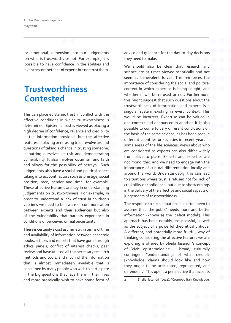ALLEA Discussion Paper #1 May 2018

or emotional, dimension into our judgements on what is trustworthy or not. For example, it is possible to have confidence in the abilities and even the competence of experts but not trust them.

### **Trustworthiness Contested**

This can place epistemic trust in conflict with the affective conditions in which trustworthiness is determined. Epistemic trust is viewed as placing a high degree of confidence, reliance and credibility in the information provided, but the affective features of placing or refusing trust revolve around questions of taking a chance in trusting someone, in putting ourselves at risk and demonstrating vulnerability. It also involves optimism and faith and allows for the possibility of betrayal. Such judgements also have a social and political aspect taking into account factors such as prestige, social position, race, gender and time, for example. These affective features are key in understanding judgements on trustworthiness. For example, in order to understand a lack of trust in children's vaccines we need to be aware of communication between experts and their audiences but also of the vulnerability that parents experience in conditions of perceived or real uncertainty.

There is certainly a cost asymmetry in terms of time and availability of information between academic books, articles and reports that have gone through ethics panels, conflict of interest checks, peer review and have utilised all the necessary research methods and tools, and much of the information that is almost immediately available that is consumed by many people who wish to participate in the big questions that face them in their lives and more prosaically wish to have some form of

advice and guidance for the day-to-day decisions they need to make.

We should also be clear that research and science are at times viewed sceptically and not seen as benevolent forces. This reinforces the importance of considering the social and political context in which expertise is being sought, and whether it will be refused or not. Furthermore, this might suggest that such questions about the trustworthiness of information and experts is a singular system existing in every context. This would be incorrect. Expertise can be valued in one context and denounced in another. It is also possible to come to very different conclusions on the basis of the same science, as has been seen in different countries or societies in recent years in some areas of the life sciences. Views about who are considered as experts can also differ widely from place to place. Experts and expertise are not monolithic, and we need to engage with the importance of cultural differentiation locally and around the world. Understandably, this can lead to situations where trust is refused not for lack of credibility or confidence, but due to shortcomings in the delivery of the affective and social aspects of judgements of trustworthiness.

The response to such situations has often been to assume that 'the public' needs more and better information (known as the 'deficit model'). This approach has been notably unsuccessful, as well as the subject of a powerful theoretical critique. A different, and potentially more fruitful, way of thinking considering the affective features we are exploring is offered by Sheila Jasanoff's concept of 'civic epistemologies' – broad, culturally contingent "understandings of what credible [knowledge] claims should look like and how they ought to be articulated, represented, and defended".<sup>2</sup> This opens a perspective that accepts

Sheila Jasanoff (2011), 'Cosmopolitan Knowledge: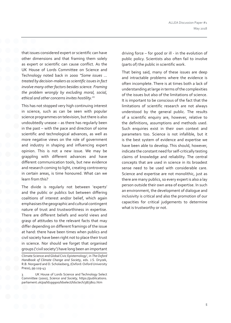that issues considered expert or scientific can have other dimensions and that framing them solely as expert or scientific can cause conflict. As the UK House of Lords Committee on Science and Technology noted back in 2000 *"Some issues … treated by decision-makers as scientific issues in fact involve many other factors besides science. Framing the problem wrongly by excluding moral, social, ethical and other concerns invites hostility."<sup>3</sup>*

This has not stopped very high continuing interest in science, such as can be seen with popular science programmes on television, but there is also undoubtedly unease – as there has regularly been in the past – with the pace and direction of some scientific and technological advances, as well as more negative views on the role of government and industry in shaping and influencing expert opinion. This is not a new issue. We may be grappling with different advances and have different communication tools, but new evidence and research coming to light, creating controversy in certain areas, is time honoured. What can we learn from this?

The divide is regularly not between 'experts' and the public or publics but between differing coalitions of interest and/or belief, which again emphasises the geographic and cultural contingent nature of trust and trustworthiness in expertise. There are different beliefs and world views and grasp of attitudes to the relevant facts that may differ depending on different framings of the issue at hand: there have been times when publics and civil society have been right not to place their trust in science. Nor should we forget that organised groups ('civil society') have long been an important driving force – for good or ill - in the evolution of public policy. Scientists also often fail to involve (parts of) the public in scientific work.

That being said, many of these issues are deep and intractable problems where the evidence is often incomplete. There is at times both a lack of understanding at large in terms of the complexities of the issues but also of the limitations of science. It is important to be conscious of the fact that the limitations of scientific research are not always understood by the general public. The results of a scientific enquiry are, however, relative to the definitions, assumptions and methods used. Such enquiries exist in their own context and parameters too. Science is not infallible, but it is the best system of evidence and expertise we have been able to develop. This should, however, indicate the constant need for self-critically testing claims of knowledge and reliability. The central concepts that are used in science in its broadest sense need to be used with considerable care. Science and expertise are not monolithic, just as there are many publics, so every expert is also a lay person outside their own area of expertise. In such an environment, the development of dialogue and inclusivity is critical and also the promotion of our capacities for critical judgements to determine what is trustworthy or not.

Climate Science and Global Civic Epistemology', in *The Oxford Handbook of Climate Change and Society*, eds. J.S. Dryzek, R.B. Norgaard and D. Scholasberg, (Oxford: Oxford University Press), pp.129-43

UK House of Lords Science and Technology Select Committee (2000), *Science and Society,* https://publications. parliament.uk/pa/ld199900/ldselect/ldsctech/38/3802.htm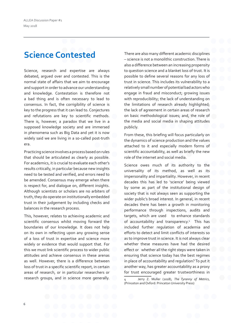### **Science Contested**

Science, research and expertise are always debated, argued over and contested. This is the normal state of affairs that we aim to encourage and support in order to advance our understanding and knowledge. Contestation is therefore not a bad thing and is often necessary to lead to consensus. In fact, the corrigibility of science is key to the progress that it can lead to. Conjectures and refutations are key to scientific methods. There is, however, a paradox that we live in a supposed knowledge society and are immersed in phenomena such as Big Data and yet it is now widely said we are living in a so-called post-truth era.

Practicing science involves a process based on rules that should be articulated as clearly as possible. For academics, it is crucial to evaluate each other's results critically, in particular because new insights need to be tested and verified, and errors need to be amended. Consensus may emerge when there is respect for, and dialogue on, different insights. Although scientists or scholars are no arbiters of truth, they do operate on institutionally embedded trust in their judgement by including checks and balances in the research process.

This, however, relates to achieving academic and scientific consensus whilst moving forward the boundaries of our knowledge. It does not help on its own in reflecting upon any growing sense of a loss of trust in expertise and science more widely or evidence that would support that. For this we must link scientific process to wider public attitudes and achieve consensus in these arenas as well. However, there is a difference between loss of trust in a specific scientific report, in certain areas of research, or in particular researchers or research groups, and in science more generally.

There are also many different academic disciplines – science is not a monolithic construction. There is also a difference between an increasing propensity to question science and a blanket loss of trust. It is possible to define several reasons for any loss of trust in science. This includes its vulnerability to a relatively small number of potential bad actors who engage in fraud and misconduct; growing issues with reproducibility; the lack of understanding on the limitations of research already highlighted; the lack of agreement in certain areas of research on basic methodological issues; and, the role of the media and social media in shaping attitudes publicly.

From these, this briefing will focus particularly on the dynamics of science production and the values attached to it and especially modern forms of scientific accountability, as well as briefly the new role of the internet and social media.

Science owes much of its authority to the universality of its method, as well as its impersonality and impartiality. However, in recent decades this has led to 'science' being viewed by some as part of the institutional design of society that is not always seen as supporting the wider public's broad interest. In general, in recent decades there has been a growth in monitoring performance through inspections, audits and targets, which are used to enhance standards of accountability and transparency.<sup>4</sup> This has included further regulation of academia and efforts to detect and limit conflicts of interests so as to improve trust in science. It is not always clear whether these measures have had the desired effect or whether all the right steps were taken in ensuring that science today has the best regimes in place of accountability and regulation? To put it another way, has greater accountability as a proxy for trust encouraged greater trustworthiness in

<sup>4</sup> Jerry Z. Muller (2018), *The Tyranny of Metrics*, (Princeton and Oxford: Princeton University Press)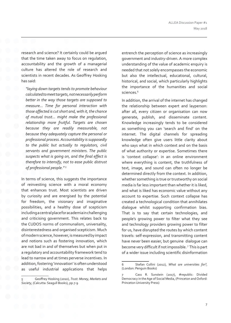research and science? It certainly could be argued that the time taken away to focus on regulation, accountability and the growth of a managerial culture has altered the role of research and scientists in recent decades. As Geoffrey Hosking has said:

*"laying down targets tends to promote behaviour calculated to meet targets, not necessarily perform better in the way those targets are supposed to measure… Time for personal interaction with those affected is cut short and, with it, the chance of mutual trust… might make the professional relationship more fruitful. Targets are chosen because they are readily measurable, not because they adequately capture the personal or professional process. Accountability is supposedly to the public but actually to regulators, civil servants and government ministers. The public suspects what is going on, and the final effect is therefore to intensify, not to ease public distrust of professional people." <sup>5</sup>*

In terms of science, this suggests the importance of reinvesting science with a moral economy that enhances trust. Most scientists are driven by curiosity and are energised by the potential for freedom, the visionary and imaginative possibilities, and a healthy dose of scepticism including a central place for academia in challenging and criticising government. This relates back to the CUDOS norms of communalism, universality, disinterestedness and organised scepticism. Much of modern science, however, is measured by impact and notions such as fostering innovation, which are not bad in and of themselves but when put in a regulatory and accountability framework tend to lead to narrow and at times perverse incentives. In addition, fostering 'innovation' is often understood as useful industrial applications that helps

entrench the perception of science as increasingly government and industry-driven. A more complex understanding of the value of academic enquiry is needed that not solely encompasses the economic but also the intellectual, educational, cultural, historical, and social, which particularly highlights the importance of the humanities and social sciences.<sup>6</sup>

In addition, the arrival of the internet has changed the relationship between expert and layperson: after all, every citizen or organisation can now generate, publish, and disseminate content. Knowledge increasingly tends to be considered as something you can 'search and find' on the internet. The digital channels for spreading knowledge often give users little clarity about who says what in which context and on the basis of what authority or expertise. Sometimes there is 'context collapse': in an online environment where everything is content, the truthfulness of text, image, and sound can often no longer be determined directly from the context. In addition, whether something is true or trustworthy on social media is far less important than whether it is liked, and what is liked has economic value without any account to expertise. Such context collapse has created a technological condition that annihilates dialogue whilst supporting confirmation bias. That is to say that certain technologies, and people's growing power to filter what they see and technology providers growing power to filter for us, have disrupted the routes by which content travels: self-expression, and transmitting content have never been easier, but genuine dialogue can become very difficult if not impossible. <sup>7</sup> This is part of a wider issue including scientific disinformation

<sup>5</sup> Geoffrey Hosking (2010), *Trust: Money, Markets and Society*, (Calcutta: Seagull Books), pp.7-9

<sup>6</sup> Stefan Collini (2012), *What are universities for?*, (London: Penguin Books)

Cass R. Sunstein (2017), #republic: Divided Democracy in the Age of Social Media, (Princeton and Oxford: Princeton University Press)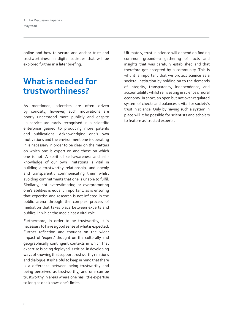ALLEA Discussion Paper #1 May 2018

online and how to secure and anchor trust and trustworthiness in digital societies that will be explored further in a later briefing.

### **What is needed for trustworthiness?**

As mentioned, scientists are often driven by curiosity, however, such motivations are poorly understood more publicly and despite lip service are rarely recognised in a scientific enterprise geared to producing more patents and publications. Acknowledging one's own motivations and the environment one is operating in is necessary in order to be clear on the matters on which one is expert on and those on which one is not. A spirit of self-awareness and selfknowledge of our own limitations is vital in building a trustworthy relationship, and openly and transparently communicating them whilst avoiding commitments that one is unable to fulfil. Similarly, not overestimating or overpromoting one's abilities is equally important, as is ensuring that expertise and research is not inflated in the public arena through the complex process of mediation that takes place between experts and publics, in which the media has a vital role.

Furthermore, in order to be trustworthy, it is necessary to have a good sense of what is expected. Further reflection and thought on the wider impact of 'expert' thought on the culturally and geographically contingent contexts in which that expertise is being deployed is critical in developing ways of knowing that support trustworthy relations and dialogue. It is helpful to keep in mind that there is a difference between being trustworthy and being perceived as trustworthy, and one can be trustworthy in areas where one has little expertise so long as one knows one's limits.

Ultimately, trust in science will depend on finding common ground—a gathering of facts and insights that was carefully established and that therefore got accepted by a community. This is why it is important that we protect science as a societal institution by holding on to the demands of integrity, transparency, independence, and accountability whilst reinvesting in science's moral economy. In short, an open but not over-regulated system of checks and balances is vital for society's trust in science. Only by having such a system in place will it be possible for scientists and scholars to feature as 'trusted experts'.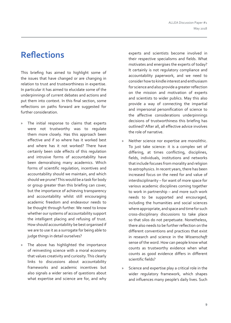### **Reflections**

This briefing has aimed to highlight some of the issues that have changed or are changing in relation to trust and trustworthiness in expertise. In particular it has aimed to elucidate some of the underpinnings of current debates and actions and put them into context. In this final section, some reflections on paths forward are suggested for further consideration.

- » The initial response to claims that experts were not trustworthy was to regulate them more closely. Has this approach been effective and if so where has it worked best and where has it not worked? There have certainly been side effects of this regulation and intrusive forms of accountability have been demoralising many academics. Which forms of scientific regulation, incentives and accountability should we maintain, and which should we prune? This would be a task for body or group greater than this briefing can cover, but the importance of achieving transparency and accountability whilst still encouraging academic freedom and endeavour needs to be thought through further. We need to know whether our systems of accountability support the intelligent placing and refusing of trust. How should accountability be best organised if we are to use it as a surrogate for being able to judge things in detail ourselves?
- » The above has highlighted the importance of reinvesting science with a moral economy that values creativity and curiosity. This clearly links to discussions about accountability frameworks and academic incentives but also signals a wider series of questions about what expertise and science are for, and why

experts and scientists become involved in their respective specialisms and fields. What motivates and energises the experts of today? It certainly is not regulatory compliance and accountability paperwork, and we need to consider how to kindle interest and enthusiasm for science and also provide a greater reflection on the mission and motivation of experts and scientists to wider publics. May this also provide a way of connecting the impartial and impersonal personification of science to the affective considerations underpinnings decisions of trustworthiness this briefing has outlined? After all, all effective advice involves the role of narrative.

- » Neither science nor expertise are monolithic. To just take science: it is a complex set of differing, at times conflicting, disciplines, fields, individuals, institutions and networks that include focuses from morality and religion to astrophysics. In recent years, there has been increased focus on the need for and value of interdisciplinarity – for want of more space for various academic disciplines coming together to work in partnership – and more such work needs to be supported and encouraged, including the humanities and social sciences where appropriate, and space and time for such cross-disciplinary discussions to take place so that silos do not perpetuate. Nonetheless, there also needs to be further reflection on the different conventions and practices that exist in research and science in the *Wissenschaft* sense of the word. How can people know what counts as trustworthy evidence when what counts as good evidence differs in different scientific fields?
- » Science and expertise play a critical role in the wider regulatory framework, which shapes and influences many people's daily lives. Such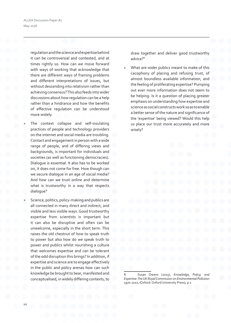ALLEA Discussion Paper #1 May 2018

> regulation and the science and expertise behind it can be controversial and contested, and at times rightly so. How can we move forward with ways of working that acknowledge that there are different ways of framing problems and different interpretations of issues, but without descending into relativism rather than achieving consensus? This also feeds into wider discussions about how regulation can be a help rather than a hindrance and how the benefits of effective regulation can be understood more widely.

- » The context collapse and self-insulating practices of people and technology providers on the internet and social media are troubling. Contact and engagement in person with a wide range of people, and of differing views and backgrounds, is important for individuals and societies (as well as functioning democracies). Dialogue is essential. It also has to be worked on, it does not come for free. How though can we secure dialogue in an age of social media? And how can we trust online and determine what is trustworthy in a way that respects dialogue?
- Science, politics, policy-making and publics are all connected in many direct and indirect, and visible and less visible ways. Good trustworthy expertise from scientists is important but it can also be disruptive and often can be unwelcome, especially in the short term. This raises the old chestnut of how to speak truth to power but also how do we speak truth to power and publics whilst nourishing a culture that welcomes expertise and can be tolerant of the odd disruption this brings? In addition, if expertise and science are to engage effectively in the public and policy arenas how can such knowledge be brought to bear, manifested and conceptualised, in widely differing contexts, to

draw together and deliver good trustworthy advice?<sup>8</sup>

What are wider publics meant to make of this cacophony of placing and refusing trust, of almost boundless available information, and the feeling of proliferating expertise? Pumping out ever more information does not seem to be helping. Is it a question of placing greater emphasis on understanding how expertise and science as social constructs work so as to enable a better sense of the nature and significance of the 'expertise' being viewed? Would this help us place our trust more accurately and more wisely?

8 Susan Owens (2015), *Knowledge, Policy, and Expertise: The UK Royal Commission on Environmental Pollution 1970-2011*, (Oxford: Oxford University Press), p.1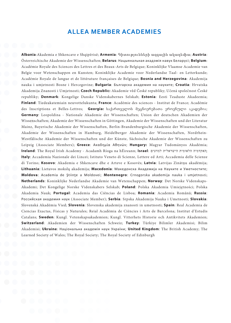### **ALLEA MEMBER ACADEMIES**

**Albania**:Akademia e Shkencave e Shqipërisë; **Armenia**: Գիտությունների ազգային ակադեմիա; **Austria**: Österreichische Akademie der Wissenschaften; **Belarus**: Нацыянальная акадэмiя навук Беларусі; **Belgium**: Académie Royale des Sciences des Lettres et des Beaux-Arts de Belgique; Koninklijke Vlaamse Academie van Belgie voor Wetenschappen en Kunsten; Koninklijke Academie voor Nederlandse Taal- en Letterkunde; Académie Royale de langue et de littérature françaises de Belgique; **Bosnia and Herzegovina**: Akademija nauka i umjetnosti Bosne i Hercegovine; **Bulgaria**: Българска академия на науките; **Croatia**: Hrvatska Akademija Znanosti i Umjetnosti; **Czech Republic:** Akademie věd České republiky; Učená společnost České republiky; **Denmark**: Kongelige Danske Videnskabernes Selskab; **Estonia**: Eesti Teaduste Akadeemia; **Finland**: Tiedeakatemiain neuvottelukunta; **France**: Académie des sciences - Institut de France; Académie des Inscriptions et Belles-Lettres; **Georgia:** საქართველოს მეცნიერებათა ეროვნული აკადემია; **Germany**: Leopoldina - Nationale Akademie der Wissenschaften; Union der deutschen Akademien der Wissenschaften; Akademie der Wissenschaften in Göttingen, Akademie der Wissenschaften und der Literatur Mainz, Bayerische Akademie der Wissenschaften, Berlin-Brandenburgische Akademie der Wissenschaften, Akademie der Wissenschaften in Hamburg, Heidelberger Akademie der Wissenschaften, Nordrhein-Westfälische Akademie der Wissenschaften und der Künste, Sächsische Akademie der Wissenschaften zu Leipzig (Associate Members); **Greece**: Ακαδημία Αθηνών; **Hungary:** Magyar Tudományos Akadémia; **Ireland**: The Royal Irish Academy - Acadamh Ríoga na hÉireann; **Israel**: למדעים הישראלית הלאומית האקדמיה ; **Italy**: Accademia Nazionale dei Lincei; Istituto Veneto di Scienze, Lettere ed Arti; Accademia delle Scienze di Torino; **Kosovo**: Akademia e Shkencave dhe e Arteve e Kosovës; **Latvia**: Latvijas Zinātņu akadēmija; **Lithuania**: Lietuvos mokslų akademija; **Macedonia**: Македонска Академија на Науките и Уметностите; **Moldova**: Academia de Ştiinţe a Moldovei; **Montenegro**: Crnogorska akademija nauka i umjetnosti; **Netherlands**: Koninklijke Nederlandse Akademie van Wetenschappen; **Norway**: Det Norske Videnskaps-Akademi; Det Kongelige Norske Videnskabers Selskab; **Poland**: Polska Akademia Umiejętności; Polska Akademia Nauk; **Portugal**: Academia das Ciências de Lisboa; **Romania**: Academia Română; **Russia**: Российская академия наук (Associate Member); **Serbia**: Srpska Akademija Nauka i Umetnosti; **Slovakia**: Slovenská Akadémia Vied; **Slovenia**: Slovenska akademija znanosti in umetnosti; **Spain**: Real Academia de Ciencias Exactas, Físicas y Naturales; Reial Acadèmia de Ciències i Arts de Barcelona; Institut d'Estudis Catalans; **Sweden**: Kungl. Vetenskapsakademien; Kungl. Vitterhets Historie och Antikvitets Akademien; **Switzerland**: Akademien der Wissenschaften Schweiz; **Turkey**: Türkiye Bilimler Akademisi; Bilim Akademisi; **Ukraine**: Національна академія наук України; **United Kingdom**: The British Academy; The Learned Society of Wales; The Royal Society; The Royal Society of Edinburgh